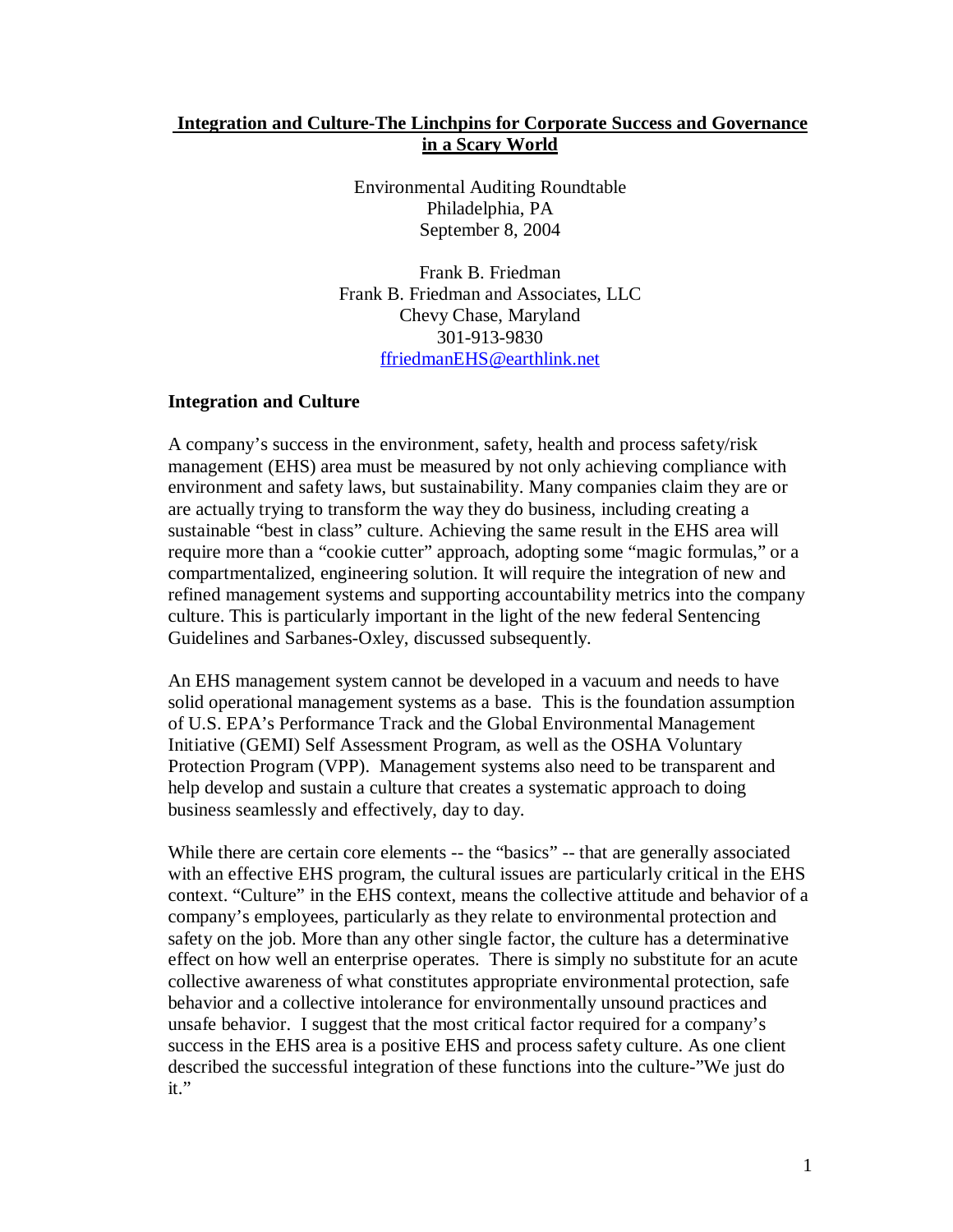## **Integration and Culture-The Linchpins for Corporate Success and Governance in a Scary World**

Environmental Auditing Roundtable Philadelphia, PA September 8, 2004

Frank B. Friedman Frank B. Friedman and Associates, LLC Chevy Chase, Maryland 301-913-9830 [ffriedmanEHS@earthlink.net](mailto:ffriedmanEHS@earthlink.com)

### **Integration and Culture**

A company's success in the environment, safety, health and process safety/risk management (EHS) area must be measured by not only achieving compliance with environment and safety laws, but sustainability. Many companies claim they are or are actually trying to transform the way they do business, including creating a sustainable "best in class" culture. Achieving the same result in the EHS area will require more than a "cookie cutter" approach, adopting some "magic formulas," or a compartmentalized, engineering solution. It will require the integration of new and refined management systems and supporting accountability metrics into the company culture. This is particularly important in the light of the new federal Sentencing Guidelines and Sarbanes-Oxley, discussed subsequently.

An EHS management system cannot be developed in a vacuum and needs to have solid operational management systems as a base. This is the foundation assumption of U.S. EPA's Performance Track and the Global Environmental Management Initiative (GEMI) Self Assessment Program, as well as the OSHA Voluntary Protection Program (VPP). Management systems also need to be transparent and help develop and sustain a culture that creates a systematic approach to doing business seamlessly and effectively, day to day.

While there are certain core elements -- the "basics" -- that are generally associated with an effective EHS program, the cultural issues are particularly critical in the EHS context. "Culture" in the EHS context, means the collective attitude and behavior of a company's employees, particularly as they relate to environmental protection and safety on the job. More than any other single factor, the culture has a determinative effect on how well an enterprise operates. There is simply no substitute for an acute collective awareness of what constitutes appropriate environmental protection, safe behavior and a collective intolerance for environmentally unsound practices and unsafe behavior. I suggest that the most critical factor required for a company's success in the EHS area is a positive EHS and process safety culture. As one client described the successful integration of these functions into the culture-"We just do it."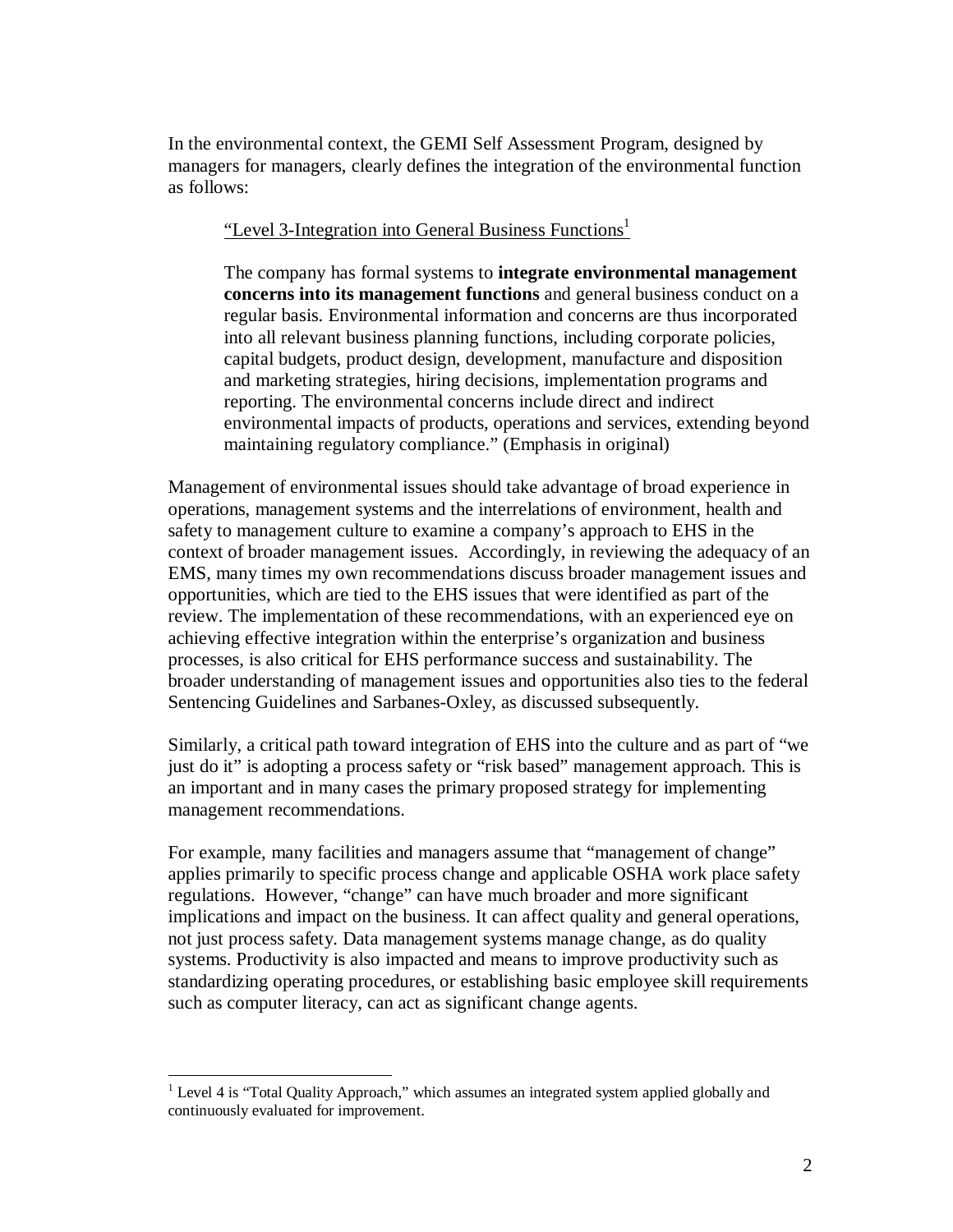In the environmental context, the GEMI Self Assessment Program, designed by managers for managers, clearly defines the integration of the environmental function as follows:

# "Level3-Integration into General Business Functions<sup>1</sup>

The company has formal systems to **integrate environmental management concerns into its management functions** and general business conduct on a regular basis. Environmental information and concerns are thus incorporated into all relevant business planning functions, including corporate policies, capital budgets, product design, development, manufacture and disposition and marketing strategies, hiring decisions, implementation programs and reporting. The environmental concerns include direct and indirect environmental impacts of products, operations and services, extending beyond maintaining regulatory compliance." (Emphasis in original)

Management of environmental issues should take advantage of broad experience in operations, management systems and the interrelations of environment, health and safety to management culture to examine a company's approach to EHS in the context of broader management issues. Accordingly, in reviewing the adequacy of an EMS, many times my own recommendations discuss broader management issues and opportunities, which are tied to the EHS issues that were identified as part of the review. The implementation of these recommendations, with an experienced eye on achieving effective integration within the enterprise's organization and business processes, is also critical for EHS performance success and sustainability. The broader understanding of management issues and opportunities also ties to the federal Sentencing Guidelines and Sarbanes-Oxley, as discussed subsequently.

Similarly, a critical path toward integration of EHS into the culture and as part of "we just do it" is adopting a process safety or "risk based" management approach. This is an important and in many cases the primary proposed strategy for implementing management recommendations.

For example, many facilities and managers assume that "management of change" applies primarily to specific process change and applicable OSHA work place safety regulations. However, "change" can have much broader and more significant implications and impact on the business. It can affect quality and general operations, not just process safety. Data management systems manage change, as do quality systems. Productivity is also impacted and means to improve productivity such as standardizing operating procedures, or establishing basic employee skill requirements such as computer literacy, can act as significant change agents.

<span id="page-1-0"></span> $\frac{1}{1}$  $\frac{1}{2}$  Level 4 is "Total Quality Approach," which assumes an integrated system applied globally and continuously evaluated for improvement.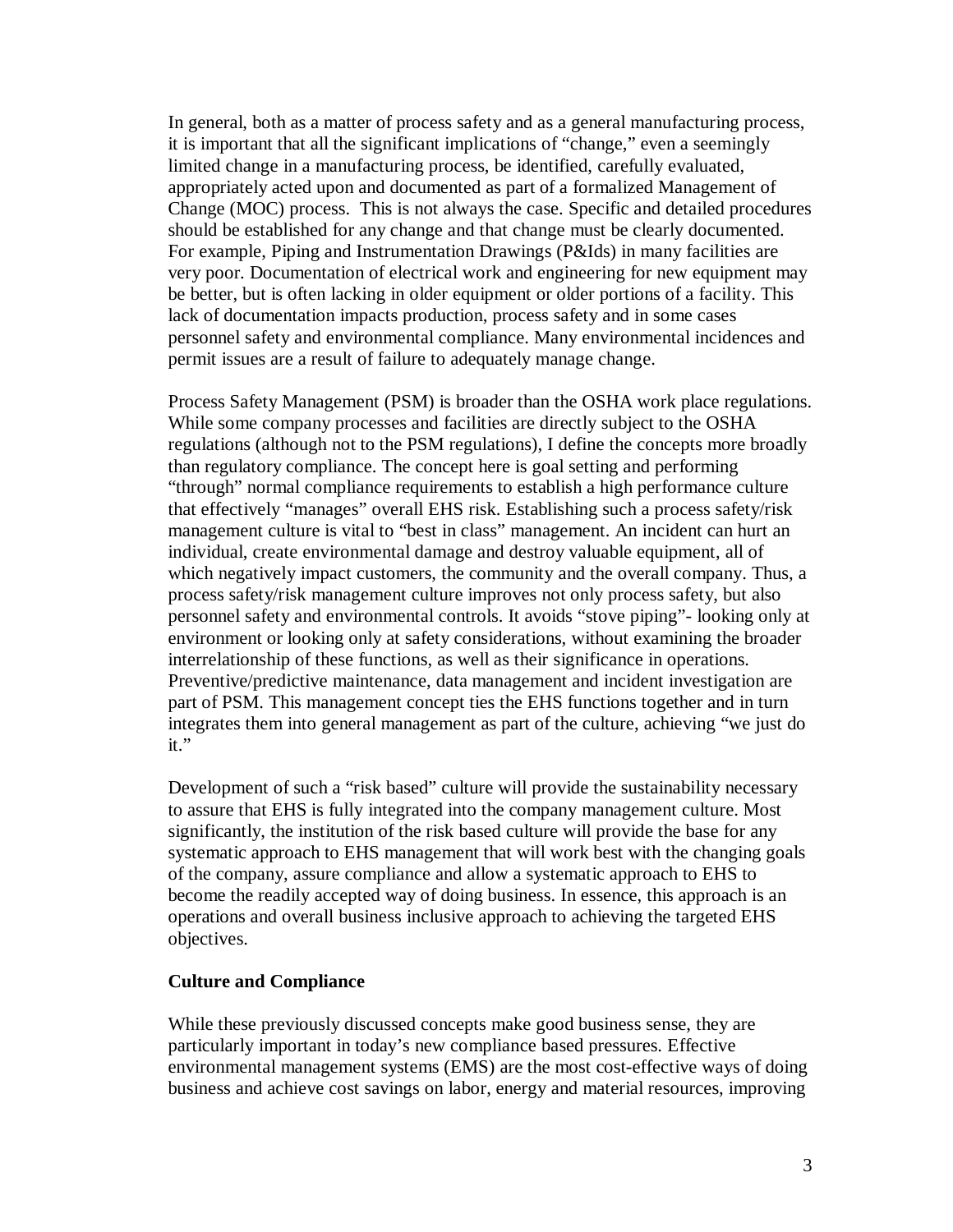In general, both as a matter of process safety and as a general manufacturing process, it is important that all the significant implications of "change," even a seemingly limited change in a manufacturing process, be identified, carefully evaluated, appropriately acted upon and documented as part of a formalized Management of Change (MOC) process. This is not always the case. Specific and detailed procedures should be established for any change and that change must be clearly documented. For example, Piping and Instrumentation Drawings (P&Ids) in many facilities are very poor. Documentation of electrical work and engineering for new equipment may be better, but is often lacking in older equipment or older portions of a facility. This lack of documentation impacts production, process safety and in some cases personnel safety and environmental compliance. Many environmental incidences and permit issues are a result of failure to adequately manage change.

Process Safety Management (PSM) is broader than the OSHA work place regulations. While some company processes and facilities are directly subject to the OSHA regulations (although not to the PSM regulations), I define the concepts more broadly than regulatory compliance. The concept here is goal setting and performing "through" normal compliance requirements to establish a high performance culture that effectively "manages" overall EHS risk. Establishing such a process safety/risk management culture is vital to "best in class" management. An incident can hurt an individual, create environmental damage and destroy valuable equipment, all of which negatively impact customers, the community and the overall company. Thus, a process safety/risk management culture improves not only process safety, but also personnel safety and environmental controls. It avoids "stove piping"- looking only at environment or looking only at safety considerations, without examining the broader interrelationship of these functions, as well as their significance in operations. Preventive/predictive maintenance, data management and incident investigation are part of PSM. This management concept ties the EHS functions together and in turn integrates them into general management as part of the culture, achieving "we just do it."

Development of such a "risk based" culture will provide the sustainability necessary to assure that EHS is fully integrated into the company management culture. Most significantly, the institution of the risk based culture will provide the base for any systematic approach to EHS management that will work best with the changing goals of the company, assure compliance and allow a systematic approach to EHS to become the readily accepted way of doing business. In essence, this approach is an operations and overall business inclusive approach to achieving the targeted EHS objectives.

#### **Culture and Compliance**

While these previously discussed concepts make good business sense, they are particularly important in today's new compliance based pressures. Effective environmental management systems (EMS) are the most cost-effective ways of doing business and achieve cost savings on labor, energy and material resources, improving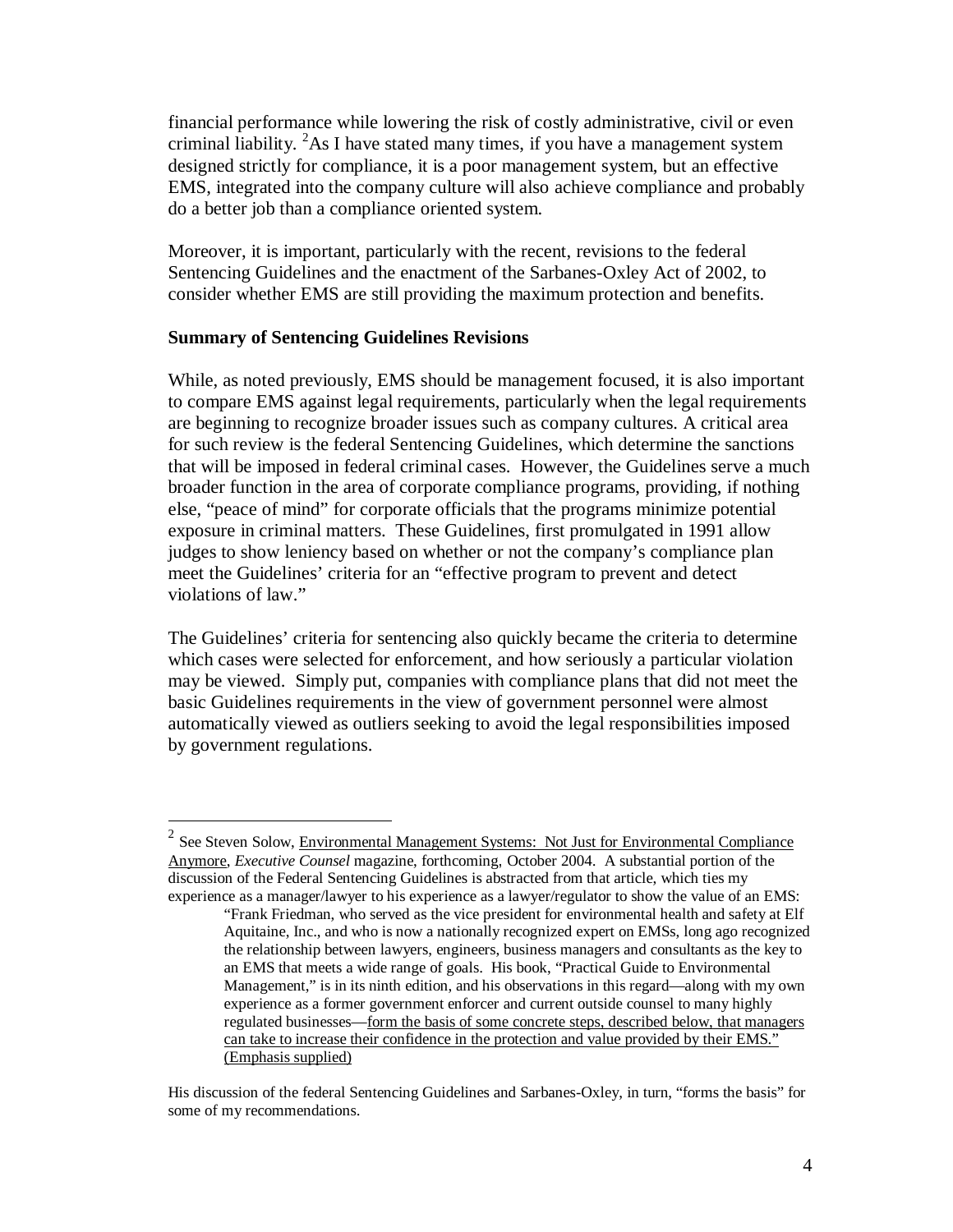financial performance while lowering the risk of costly administrative, civil or even criminal liability.  ${}^{2}$ [A](#page-3-0)s I have stated many times, if you have a management system designed strictly for compliance, it is a poor management system, but an effective EMS, integrated into the company culture will also achieve compliance and probably do a better job than a compliance oriented system.

Moreover, it is important, particularly with the recent, revisions to the federal Sentencing Guidelines and the enactment of the Sarbanes-Oxley Act of 2002, to consider whether EMS are still providing the maximum protection and benefits.

### **Summary of Sentencing Guidelines Revisions**

While, as noted previously, EMS should be management focused, it is also important to compare EMS against legal requirements, particularly when the legal requirements are beginning to recognize broader issues such as company cultures. A critical area for such review is the federal Sentencing Guidelines, which determine the sanctions that will be imposed in federal criminal cases. However, the Guidelines serve a much broader function in the area of corporate compliance programs, providing, if nothing else, "peace of mind" for corporate officials that the programs minimize potential exposure in criminal matters. These Guidelines, first promulgated in 1991 allow judges to show leniency based on whether or not the company's compliance plan meet the Guidelines' criteria for an "effective program to prevent and detect violations of law."

The Guidelines' criteria for sentencing also quickly became the criteria to determine which cases were selected for enforcement, and how seriously a particular violation may be viewed. Simply put, companies with compliance plans that did not meet the basic Guidelines requirements in the view of government personnel were almost automatically viewed as outliers seeking to avoid the legal responsibilities imposed by government regulations.

<span id="page-3-0"></span> $2$  See Steven Solow, Environmental Management Systems: Not Just for Environmental Compliance Anymore, *Executive Counsel* magazine, forthcoming, October 2004. A substantial portion of the discussion of the Federal Sentencing Guidelines is abstracted from that article, which ties my experience as a manager/lawyer to his experience as a lawyer/regulator to show the value of an EMS:

<sup>&</sup>quot;Frank Friedman, who served as the vice president for environmental health and safety at Elf Aquitaine, Inc., and who is now a nationally recognized expert on EMSs, long ago recognized the relationship between lawyers, engineers, business managers and consultants as the key to an EMS that meets a wide range of goals. His book, "Practical Guide to Environmental Management," is in its ninth edition, and his observations in this regard—along with my own experience as a former government enforcer and current outside counsel to many highly regulated businesses—form the basis of some concrete steps, described below, that managers can take to increase their confidence in the protection and value provided by their EMS." (Emphasis supplied)

His discussion of the federal Sentencing Guidelines and Sarbanes-Oxley, in turn, "forms the basis" for some of my recommendations.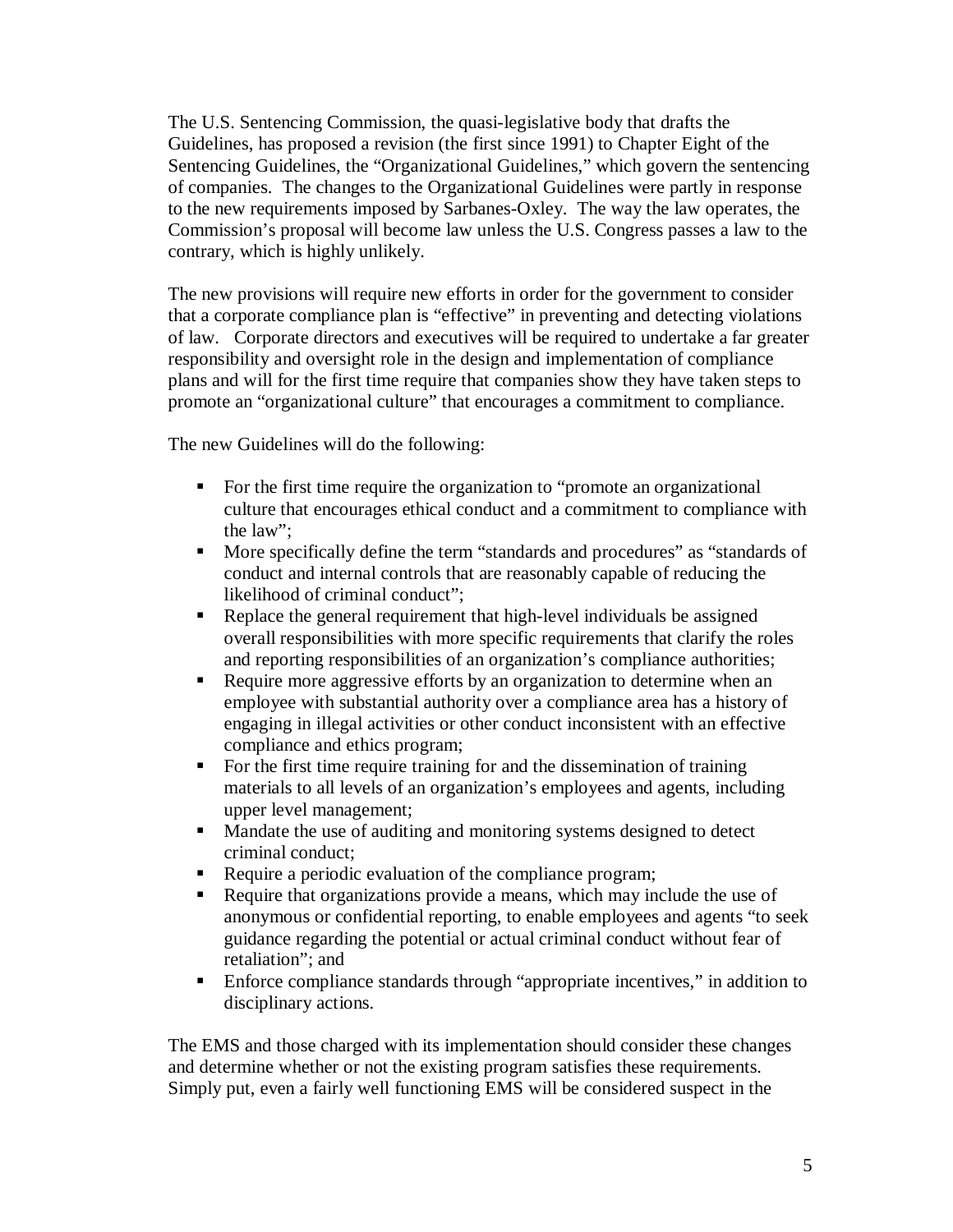The U.S. Sentencing Commission, the quasi-legislative body that drafts the Guidelines, has proposed a revision (the first since 1991) to Chapter Eight of the Sentencing Guidelines, the "Organizational Guidelines," which govern the sentencing of companies. The changes to the Organizational Guidelines were partly in response to the new requirements imposed by Sarbanes-Oxley. The way the law operates, the Commission's proposal will become law unless the U.S. Congress passes a law to the contrary, which is highly unlikely.

The new provisions will require new efforts in order for the government to consider that a corporate compliance plan is "effective" in preventing and detecting violations of law. Corporate directors and executives will be required to undertake a far greater responsibility and oversight role in the design and implementation of compliance plans and will for the first time require that companies show they have taken steps to promote an "organizational culture" that encourages a commitment to compliance.

The new Guidelines will do the following:

- For the first time require the organization to "promote an organizational" culture that encourages ethical conduct and a commitment to compliance with the law";
- More specifically define the term "standards and procedures" as "standards of conduct and internal controls that are reasonably capable of reducing the likelihood of criminal conduct";
- Replace the general requirement that high-level individuals be assigned overall responsibilities with more specific requirements that clarify the roles and reporting responsibilities of an organization's compliance authorities;
- Require more aggressive efforts by an organization to determine when an employee with substantial authority over a compliance area has a history of engaging in illegal activities or other conduct inconsistent with an effective compliance and ethics program;
- For the first time require training for and the dissemination of training materials to all levels of an organization's employees and agents, including upper level management;
- Mandate the use of auditing and monitoring systems designed to detect criminal conduct;
- Require a periodic evaluation of the compliance program;
- Require that organizations provide a means, which may include the use of anonymous or confidential reporting, to enable employees and agents "to seek guidance regarding the potential or actual criminal conduct without fear of retaliation"; and
- Enforce compliance standards through "appropriate incentives," in addition to disciplinary actions.

The EMS and those charged with its implementation should consider these changes and determine whether or not the existing program satisfies these requirements. Simply put, even a fairly well functioning EMS will be considered suspect in the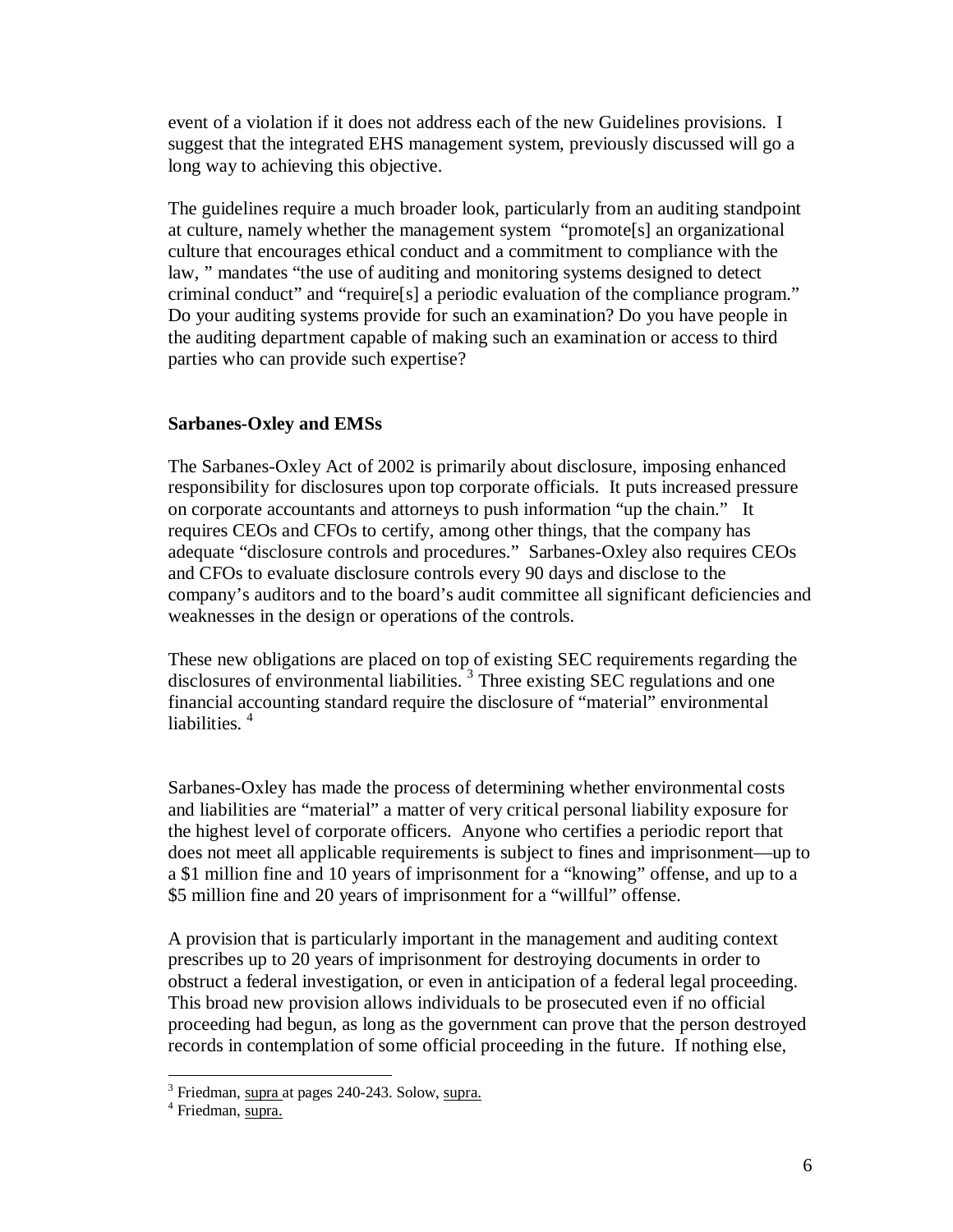event of a violation if it does not address each of the new Guidelines provisions. I suggest that the integrated EHS management system, previously discussed will go a long way to achieving this objective.

The guidelines require a much broader look, particularly from an auditing standpoint at culture, namely whether the management system "promote[s] an organizational culture that encourages ethical conduct and a commitment to compliance with the law, " mandates "the use of auditing and monitoring systems designed to detect criminal conduct" and "require[s] a periodic evaluation of the compliance program." Do your auditing systems provide for such an examination? Do you have people in the auditing department capable of making such an examination or access to third parties who can provide such expertise?

# **Sarbanes-Oxley and EMSs**

The Sarbanes-Oxley Act of 2002 is primarily about disclosure, imposing enhanced responsibility for disclosures upon top corporate officials. It puts increased pressure on corporate accountants and attorneys to push information "up the chain." It requires CEOs and CFOs to certify, among other things, that the company has adequate "disclosure controls and procedures." Sarbanes-Oxley also requires CEOs and CFOs to evaluate disclosure controls every 90 days and disclose to the company's auditors and to the board's audit committee all significant deficiencies and weaknesses in the design or operations of the controls.

These new obligations are placed on top of existing SEC requirements regarding the disclosures of environmental liabilities.<sup>[3](#page-5-0)</sup> Three existing SEC regulations and one financial accounting standard require the disclosure of "material" environmental liabilities.<sup>4</sup>

Sarbanes-Oxley has made the process of determining whether environmental costs and liabilities are "material" a matter of very critical personal liability exposure for the highest level of corporate officers. Anyone who certifies a periodic report that does not meet all applicable requirements is subject to fines and imprisonment—up to a \$1 million fine and 10 years of imprisonment for a "knowing" offense, and up to a \$5 million fine and 20 years of imprisonment for a "willful" offense.

A provision that is particularly important in the management and auditing context prescribes up to 20 years of imprisonment for destroying documents in order to obstruct a federal investigation, or even in anticipation of a federal legal proceeding. This broad new provision allows individuals to be prosecuted even if no official proceeding had begun, as long as the government can prove that the person destroyed records in contemplation of some official proceeding in the future. If nothing else,

<sup>&</sup>lt;sup>2</sup><br>3  $3$  Friedman, supra at pages 240-243. Solow, supra.

<span id="page-5-1"></span><span id="page-5-0"></span><sup>&</sup>lt;sup>4</sup> Friedman, supra.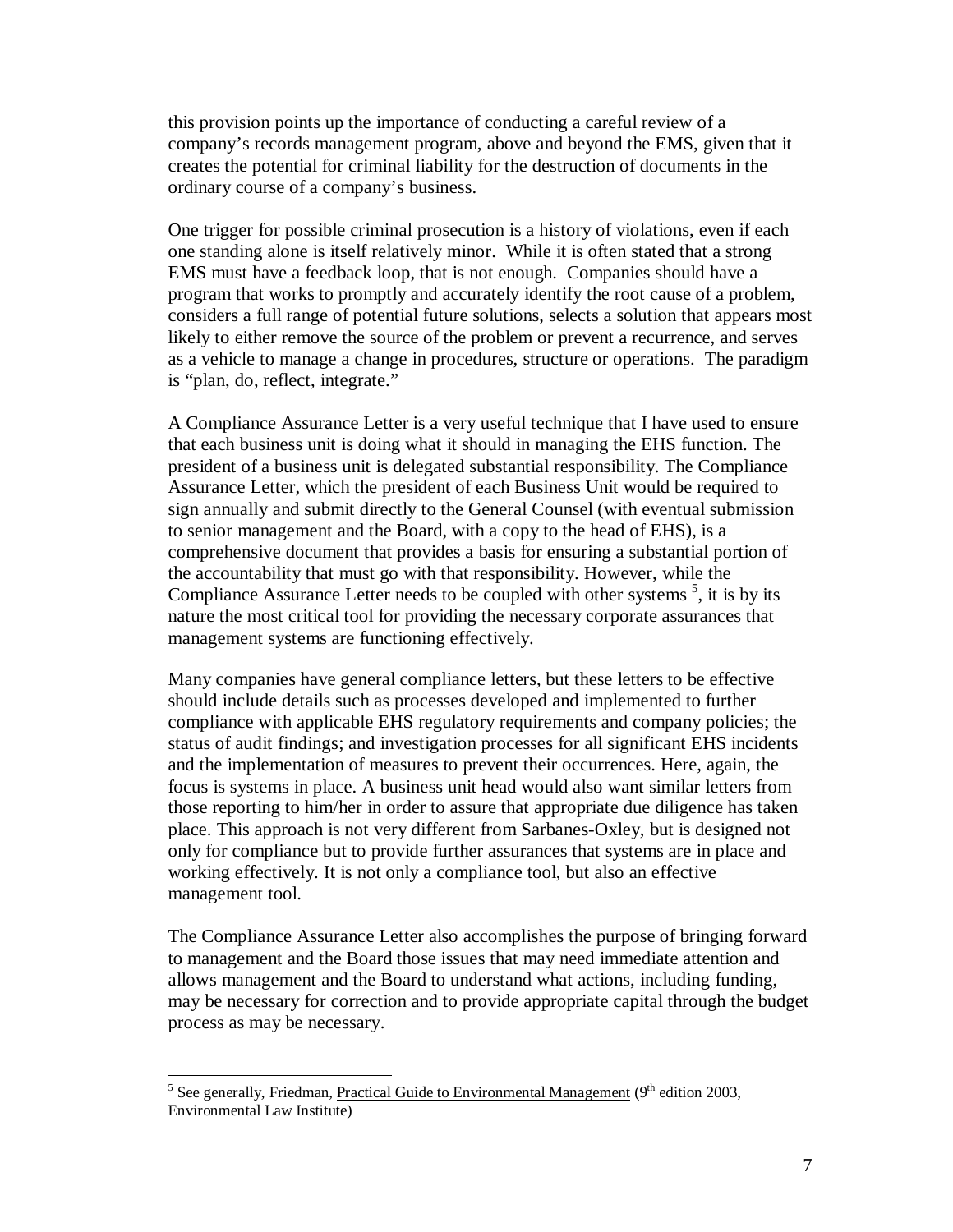this provision points up the importance of conducting a careful review of a company's records management program, above and beyond the EMS, given that it creates the potential for criminal liability for the destruction of documents in the ordinary course of a company's business.

One trigger for possible criminal prosecution is a history of violations, even if each one standing alone is itself relatively minor. While it is often stated that a strong EMS must have a feedback loop, that is not enough. Companies should have a program that works to promptly and accurately identify the root cause of a problem, considers a full range of potential future solutions, selects a solution that appears most likely to either remove the source of the problem or prevent a recurrence, and serves as a vehicle to manage a change in procedures, structure or operations. The paradigm is "plan, do, reflect, integrate."

A Compliance Assurance Letter is a very useful technique that I have used to ensure that each business unit is doing what it should in managing the EHS function. The president of a business unit is delegated substantial responsibility. The Compliance Assurance Letter, which the president of each Business Unit would be required to sign annually and submit directly to the General Counsel (with eventual submission to senior management and the Board, with a copy to the head of EHS), is a comprehensive document that provides a basis for ensuring a substantial portion of the accountability that must go with that responsibility. However, while the Compliance Assurance Letter needs to be coupled with other systems  $<sup>5</sup>$ [,](#page-6-0) it is by its</sup> nature the most critical tool for providing the necessary corporate assurances that management systems are functioning effectively.

Many companies have general compliance letters, but these letters to be effective should include details such as processes developed and implemented to further compliance with applicable EHS regulatory requirements and company policies; the status of audit findings; and investigation processes for all significant EHS incidents and the implementation of measures to prevent their occurrences. Here, again, the focus is systems in place. A business unit head would also want similar letters from those reporting to him/her in order to assure that appropriate due diligence has taken place. This approach is not very different from Sarbanes-Oxley, but is designed not only for compliance but to provide further assurances that systems are in place and working effectively. It is not only a compliance tool, but also an effective management tool.

The Compliance Assurance Letter also accomplishes the purpose of bringing forward to management and the Board those issues that may need immediate attention and allows management and the Board to understand what actions, including funding, may be necessary for correction and to provide appropriate capital through the budget process as may be necessary.

<span id="page-6-0"></span> <sup>5</sup>  $<sup>5</sup>$  See generally, Friedman, Practical Guide to Environmental Management (9<sup>th</sup> edition 2003,</sup> Environmental Law Institute)